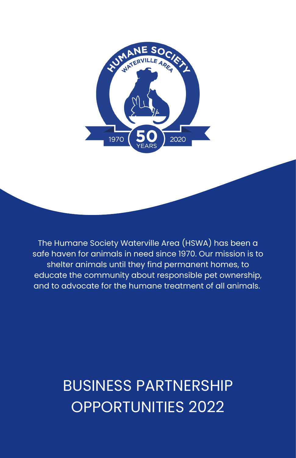

The Humane Society Waterville Area (HSWA) has been a safe haven for animals in need since 1970. Our mission is to shelter animals until they find permanent homes, to educate the community about responsible pet ownership, and to advocate for the humane treatment of all animals.

### BUSINESS PARTNERSHIP OPPORTUNITIES 2022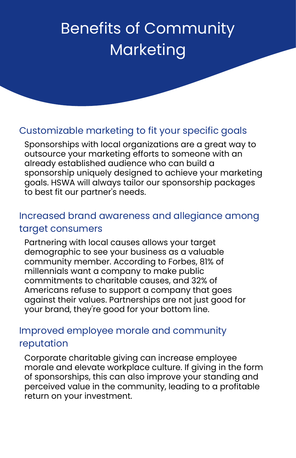## Benefits of Community Marketing

#### Customizable marketing to fit your specific goals

Sponsorships with local organizations are a great way to outsource your marketing efforts to someone with an already established audience who can build a sponsorship uniquely designed to achieve your marketing goals. HSWA will always tailor our sponsorship packages to best fit our partner's needs.

#### Increased brand awareness and allegiance among target consumers

Partnering with local causes allows your target demographic to see your business as a valuable community member. According to Forbes, 81% of millennials want a company to make public commitments to charitable causes, and 32% of Americans refuse to support a company that goes against their values. Partnerships are not just good for your brand, they're good for your bottom line.

#### Improved employee morale and community reputation

Corporate charitable giving can increase employee morale and elevate workplace culture. If giving in the form of sponsorships, this can also improve your standing and perceived value in the community, leading to a profitable return on your investment.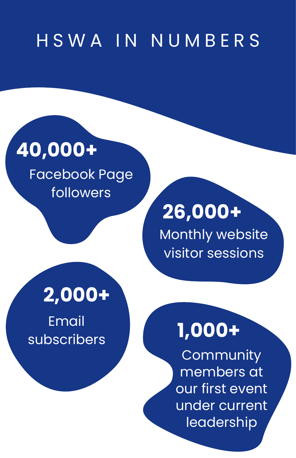# H S W A I N N U M B E R S

# **40,000+**

Facebook Page followers

## **2,000+**

Email subscribers

# **26,000+**

Monthly website visitor sessions

# **1,000+**

**Community** members at our first event under current leadership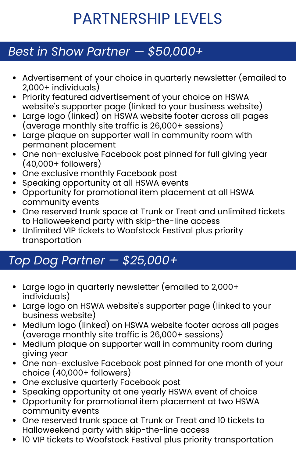### PARTNERSHIP LEVELS

#### *Best in Show Partner — \$50,000+*

- Advertisement of your choice in quarterly newsletter (emailed to 2,000+ individuals)
- Priority featured advertisement of your choice on HSWA website's supporter page (linked to your business website)
- Large logo (linked) on HSWA website footer across all pages (average monthly site traffic is 26,000+ sessions)
- Large plaque on supporter wall in community room with permanent placement
- One non-exclusive Facebook post pinned for full giving year (40,000+ followers)
- One exclusive monthly Facebook post
- Speaking opportunity at all HSWA events
- Opportunity for promotional item placement at all HSWA community events
- One reserved trunk space at Trunk or Treat and unlimited tickets to Halloweekend party with skip-the-line access
- Unlimited VIP tickets to Woofstock Festival plus priority transportation

### *Top Dog Partner — \$25,000+*

- Large logo in quarterly newsletter (emailed to 2,000+ individuals)
- Large logo on HSWA website's supporter page (linked to your business website)
- Medium logo (linked) on HSWA website footer across all pages (average monthly site traffic is 26,000+ sessions)
- Medium plaque on supporter wall in community room during giving year
- One non-exclusive Facebook post pinned for one month of your choice (40,000+ followers)
- One exclusive quarterly Facebook post
- Speaking opportunity at one yearly HSWA event of choice
- Opportunity for promotional item placement at two HSWA community events
- One reserved trunk space at Trunk or Treat and 10 tickets to Halloweekend party with skip-the-line access
- 10 VIP tickets to Woofstock Festival plus priority transportation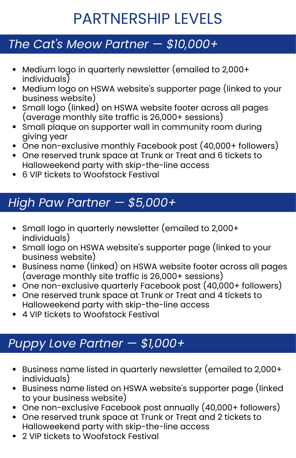## PARTNERSHIP LEVELS

#### *The Cat's Meow Partner — \$10,000+*

- Medium logo in quarterly newsletter (emailed to 2,000+ individuals)
- Medium logo on HSWA website's supporter page (linked to your business website)
- Small logo (linked) on HSWA website footer across all pages (average monthly site traffic is 26,000+ sessions)
- Small plaque on supporter wall in community room during giving year
- One non-exclusive monthly Facebook post (40,000+ followers)
- One reserved trunk space at Trunk or Treat and 6 tickets to Halloweekend party with skip-the-line access
- 6 VIP tickets to Woofstock Festival

#### *High Paw Partner — \$5,000+*

- Small logo in quarterly newsletter (emailed to 2,000+ individuals)
- Small logo on HSWA website's supporter page (linked to your business website)
- Business name (linked) on HSWA website footer across all pages (average monthly site traffic is 26,000+ sessions)
- One non-exclusive quarterly Facebook post (40,000+ followers)
- One reserved trunk space at Trunk or Treat and 4 tickets to Halloweekend party with skip-the-line access
- 4 VIP tickets to Woofstock Festival

#### *Puppy Love Partner — \$1,000+*

- Business name listed in quarterly newsletter (emailed to 2,000+ individuals)
- Business name listed on HSWA website's supporter page (linked to your business website)
- One non-exclusive Facebook post annually (40,000+ followers)
- One reserved trunk space at Trunk or Treat and 2 tickets to Halloweekend party with skip-the-line access
- 2 VIP tickets to Woofstock Festival